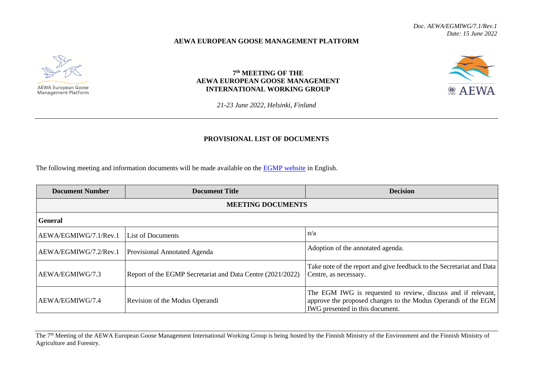**@ AEWA** 

## **AEWA EUROPEAN GOOSE MANAGEMENT PLATFORM**



## **7 th MEETING OF THE AEWA EUROPEAN GOOSE MANAGEMENT INTERNATIONAL WORKING GROUP**

*21-23 June 2022, Helsinki, Finland*

## **PROVISIONAL LIST OF DOCUMENTS**

The following meeting and information documents will be made available on the **EGMP** website in English.

| <b>Document Number</b>   | <b>Document Title</b>                                      | <b>Decision</b>                                                                                                                                                  |  |  |
|--------------------------|------------------------------------------------------------|------------------------------------------------------------------------------------------------------------------------------------------------------------------|--|--|
| <b>MEETING DOCUMENTS</b> |                                                            |                                                                                                                                                                  |  |  |
| <b>General</b>           |                                                            |                                                                                                                                                                  |  |  |
| AEWA/EGMIWG/7.1/Rev.1    | <b>List of Documents</b>                                   | n/a                                                                                                                                                              |  |  |
| AEWA/EGMIWG/7.2/Rev.1    | <b>Provisional Annotated Agenda</b>                        | Adoption of the annotated agenda.                                                                                                                                |  |  |
| AEWA/EGMIWG/7.3          | Report of the EGMP Secretariat and Data Centre (2021/2022) | Take note of the report and give feedback to the Secretariat and Data<br>Centre, as necessary.                                                                   |  |  |
| AEWA/EGMIWG/7.4          | Revision of the Modus Operandi                             | The EGM IWG is requested to review, discuss and if relevant,<br>approve the proposed changes to the Modus Operandi of the EGM<br>IWG presented in this document. |  |  |

The 7<sup>th</sup> Meeting of the AEWA European Goose Management International Working Group is being hosted by the Finnish Ministry of the Environment and the Finnish Ministry of Agriculture and Forestry.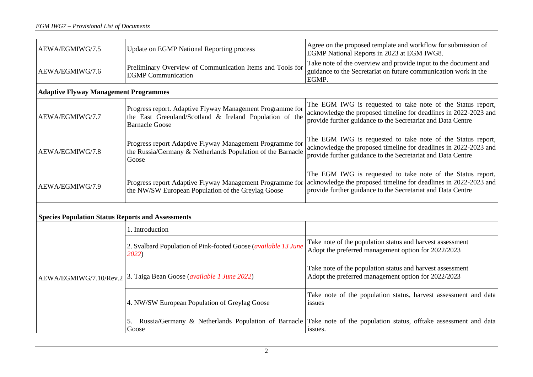| AEWA/EGMIWG/7.5                                          | <b>Update on EGMP National Reporting process</b>                                                                                              | Agree on the proposed template and workflow for submission of<br>EGMP National Reports in 2023 at EGM IWG8.                                                                                    |  |  |  |
|----------------------------------------------------------|-----------------------------------------------------------------------------------------------------------------------------------------------|------------------------------------------------------------------------------------------------------------------------------------------------------------------------------------------------|--|--|--|
| AEWA/EGMIWG/7.6                                          | Preliminary Overview of Communication Items and Tools for<br><b>EGMP</b> Communication                                                        | Take note of the overview and provide input to the document and<br>guidance to the Secretariat on future communication work in the<br>EGMP.                                                    |  |  |  |
| <b>Adaptive Flyway Management Programmes</b>             |                                                                                                                                               |                                                                                                                                                                                                |  |  |  |
| AEWA/EGMIWG/7.7                                          | Progress report. Adaptive Flyway Management Programme for<br>the East Greenland/Scotland & Ireland Population of the<br><b>Barnacle Goose</b> | The EGM IWG is requested to take note of the Status report,<br>acknowledge the proposed timeline for deadlines in 2022-2023 and<br>provide further guidance to the Secretariat and Data Centre |  |  |  |
| AEWA/EGMIWG/7.8                                          | Progress report Adaptive Flyway Management Programme for<br>the Russia/Germany & Netherlands Population of the Barnacle<br>Goose              | The EGM IWG is requested to take note of the Status report,<br>acknowledge the proposed timeline for deadlines in 2022-2023 and<br>provide further guidance to the Secretariat and Data Centre |  |  |  |
| AEWA/EGMIWG/7.9                                          | Progress report Adaptive Flyway Management Programme for<br>the NW/SW European Population of the Greylag Goose                                | The EGM IWG is requested to take note of the Status report,<br>acknowledge the proposed timeline for deadlines in 2022-2023 and<br>provide further guidance to the Secretariat and Data Centre |  |  |  |
| <b>Species Population Status Reports and Assessments</b> |                                                                                                                                               |                                                                                                                                                                                                |  |  |  |
| AEWA/EGMIWG/7.10/Rev.2                                   | 1. Introduction                                                                                                                               |                                                                                                                                                                                                |  |  |  |
|                                                          | 2. Svalbard Population of Pink-footed Goose (available 13 June<br>2022)                                                                       | Take note of the population status and harvest assessment<br>Adopt the preferred management option for 2022/2023                                                                               |  |  |  |
|                                                          | 3. Taiga Bean Goose (available 1 June 2022)                                                                                                   | Take note of the population status and harvest assessment<br>Adopt the preferred management option for 2022/2023                                                                               |  |  |  |
|                                                          | 4. NW/SW European Population of Greylag Goose                                                                                                 | Take note of the population status, harvest assessment and data<br>issues                                                                                                                      |  |  |  |
|                                                          | Russia/Germany & Netherlands Population of Barnacle<br>5.<br>Goose                                                                            | Take note of the population status, offtake assessment and data<br>issues.                                                                                                                     |  |  |  |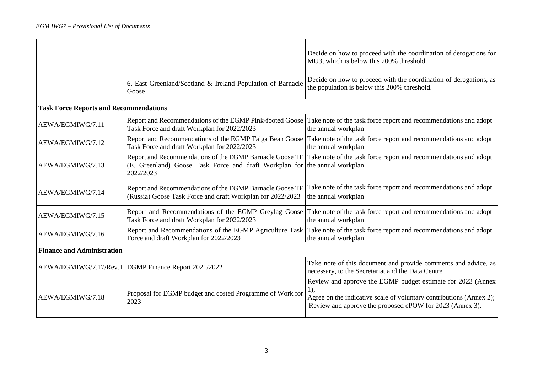|                                               |                                                                                                                                 | Decide on how to proceed with the coordination of derogations for<br>MU3, which is below this 200% threshold.                                                                                            |  |  |  |
|-----------------------------------------------|---------------------------------------------------------------------------------------------------------------------------------|----------------------------------------------------------------------------------------------------------------------------------------------------------------------------------------------------------|--|--|--|
|                                               | 6. East Greenland/Scotland & Ireland Population of Barnacle<br>Goose                                                            | Decide on how to proceed with the coordination of derogations, as<br>the population is below this 200% threshold.                                                                                        |  |  |  |
| <b>Task Force Reports and Recommendations</b> |                                                                                                                                 |                                                                                                                                                                                                          |  |  |  |
| AEWA/EGMIWG/7.11                              | Report and Recommendations of the EGMP Pink-footed Goose<br>Task Force and draft Workplan for 2022/2023                         | Take note of the task force report and recommendations and adopt<br>the annual workplan                                                                                                                  |  |  |  |
| AEWA/EGMIWG/7.12                              | Report and Recommendations of the EGMP Taiga Bean Goose<br>Task Force and draft Workplan for 2022/2023                          | Take note of the task force report and recommendations and adopt<br>the annual workplan                                                                                                                  |  |  |  |
| AEWA/EGMIWG/7.13                              | Report and Recommendations of the EGMP Barnacle Goose TF<br>(E. Greenland) Goose Task Force and draft Workplan for<br>2022/2023 | Take note of the task force report and recommendations and adopt<br>the annual workplan                                                                                                                  |  |  |  |
| AEWA/EGMIWG/7.14                              | Report and Recommendations of the EGMP Barnacle Goose TF<br>(Russia) Goose Task Force and draft Workplan for 2022/2023          | Take note of the task force report and recommendations and adopt<br>the annual workplan                                                                                                                  |  |  |  |
| AEWA/EGMIWG/7.15                              | Report and Recommendations of the EGMP Greylag Goose<br>Task Force and draft Workplan for 2022/2023                             | Take note of the task force report and recommendations and adopt<br>the annual workplan                                                                                                                  |  |  |  |
| AEWA/EGMIWG/7.16                              | Report and Recommendations of the EGMP Agriculture Task<br>Force and draft Workplan for 2022/2023                               | Take note of the task force report and recommendations and adopt<br>the annual workplan                                                                                                                  |  |  |  |
| <b>Finance and Administration</b>             |                                                                                                                                 |                                                                                                                                                                                                          |  |  |  |
|                                               | AEWA/EGMIWG/7.17/Rev.1   EGMP Finance Report 2021/2022                                                                          | Take note of this document and provide comments and advice, as<br>necessary, to the Secretariat and the Data Centre                                                                                      |  |  |  |
| AEWA/EGMIWG/7.18                              | Proposal for EGMP budget and costed Programme of Work for<br>2023                                                               | Review and approve the EGMP budget estimate for 2023 (Annex<br>$1)$ ;<br>Agree on the indicative scale of voluntary contributions (Annex 2);<br>Review and approve the proposed cPOW for 2023 (Annex 3). |  |  |  |